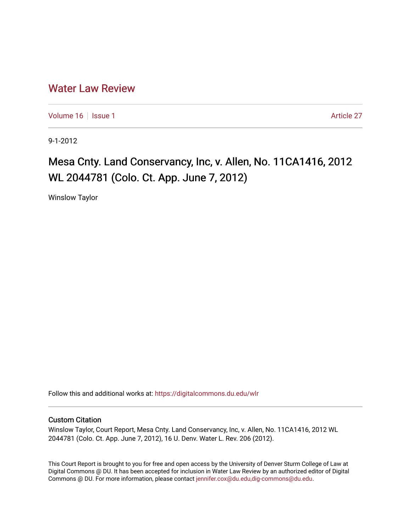## [Water Law Review](https://digitalcommons.du.edu/wlr)

[Volume 16](https://digitalcommons.du.edu/wlr/vol16) | [Issue 1](https://digitalcommons.du.edu/wlr/vol16/iss1) Article 27

9-1-2012

# Mesa Cnty. Land Conservancy, Inc, v. Allen, No. 11CA1416, 2012 WL 2044781 (Colo. Ct. App. June 7, 2012)

Winslow Taylor

Follow this and additional works at: [https://digitalcommons.du.edu/wlr](https://digitalcommons.du.edu/wlr?utm_source=digitalcommons.du.edu%2Fwlr%2Fvol16%2Fiss1%2F27&utm_medium=PDF&utm_campaign=PDFCoverPages) 

### Custom Citation

Winslow Taylor, Court Report, Mesa Cnty. Land Conservancy, Inc, v. Allen, No. 11CA1416, 2012 WL 2044781 (Colo. Ct. App. June 7, 2012), 16 U. Denv. Water L. Rev. 206 (2012).

This Court Report is brought to you for free and open access by the University of Denver Sturm College of Law at Digital Commons @ DU. It has been accepted for inclusion in Water Law Review by an authorized editor of Digital Commons @ DU. For more information, please contact [jennifer.cox@du.edu,dig-commons@du.edu.](mailto:jennifer.cox@du.edu,dig-commons@du.edu)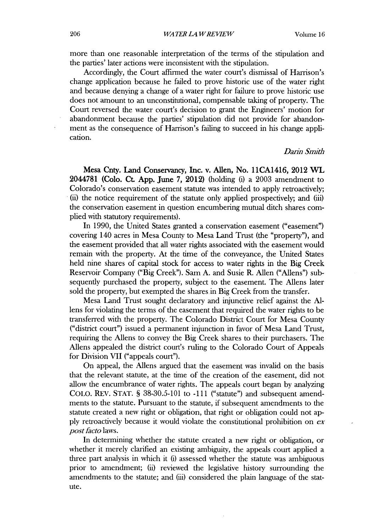more than one reasonable interpretation of the terms of the stipulation and the parties' later actions were inconsistent with the stipulation.

Accordingly, the Court affirmed the water court's dismissal of Harrison's change application because he failed to prove historic use of the water right and because denying a change of a water right for failure to prove historic use does not amount to an unconstitutional, compensable taking of property. The Court reversed the water court's decision to grant the Engineers' motion for abandonment because the parties' stipulation did not provide for abandonment as the consequence of Harrison's failing to succeed in his change application.

#### *Darn Smith*

Mesa **Cnty. Land Conservancy, Inc. v. Allen, No. 11CA1416, 2012 WL** 2044781 (Colo. **Ct. App. June 7,** 2012) (holding (i) a **2003** amendment to Colorado's conservation easement statute was intended to apply retroactively; (ii) the notice requirement of the statute only applied prospectively; and (iii) the conservation easement in question encumbering mutual ditch shares complied with statutory requirements).

In **1990,** the United States granted a conservation easement ("easement") covering 140 acres in Mesa County to Mesa Land Trust (the "property"), and the easement provided that all water rights associated with the easement would remain with the property. At the time of the conveyance, the United States held nine shares of capital stock for access to water rights in the Big Creek Reservoir Company ("Big Creek"). Sam **A.** and Susie R. Allen ("Allens") subsequently purchased the property, subject to the easement. The Allens later sold the property, but exempted the shares.in **Big** Creek from the transfer.

Mesa Land Trust sought declaratory and injunctive relief against the **Al**lens for violating the terms of the easement that required the water rights to be transferred with the property. The Colorado District Court for Mesa County ("district court") issued a permanent injunction in favor of Mesa Land Trust, requiring the Allens to convey the **Big** Creek shares to their purchasers. The Allens appealed the district court's ruling to the Colorado Court of Appeals for Division VII ("appeals court").

On appeal, the Allens argued that the easement was invalid on the basis that the relevant statute, at the time of the creation of the easement, did not allow the encumbrance of water rights. The appeals court began **by** analyzing **COLO.** REV. **STAT. § 38-30.5-101** to **-111** ("statute") and subsequent amendments to the statute. Pursuant to the statute, **if** subsequent amendments to the statute created a new right or obligation, that right or obligation could not ap**ply** retroactively because it would violate the constitutional prohibition on *ex post facto* laws.

In determining whether the statute created a new right or obligation, or whether it merely clarified an existing ambiguity, the appeals court applied a three part analysis in which it **(i)** assessed whether the statute was ambiguous prior to amendment; **(ii)** reviewed the legislative history surrounding the amendments to the statute; and **(iii)** considered the plain language of the statute.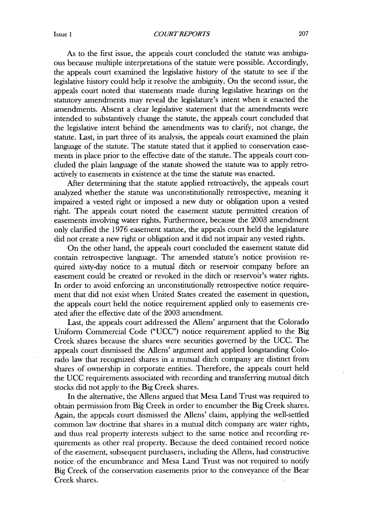As to the first issue, the appeals court concluded the statute was ambiguous because multiple interpretations of the statute were possible. Accordingly, the appeals court examined the legislative history of the statute to see if the legislative history could help it resolve the ambiguity. On the second issue, the appeals court noted that statements made during legislative hearings on the statutory amendments may reveal the legislature's intent when it enacted the amendments. Absent a clear legislative statement that the amendments were intended to substantively change the statute, the appeals court concluded that the legislative intent behind the amendments was to clarify, not change, the statute. Last, in part three of its analysis, the appeals court examined the plain language of the statute. The statute stated that it applied to conservation easements in place prior to the effective date **of** the statute. The appeals court concluded the plain language of the statute showed the statute was to apply retroactively to easements in existence at the time the statute was enacted.

After determining that the statute applied retroactively, the appeals court analyzed whether the statute was unconstitutionally retrospective, meaning it impaired a vested right or imposed a new duty or obligation upon a vested right. The appeals court noted the easement statute permitted creation of easements involving water rights. Furthermore, because the **2003** amendment only clarified the **1976** easement statute, the appeals court held the legislature did not create a new right or obligation and it **did** not impair any vested rights.

On the other hand, the appeals court concluded the easement statute did contain retrospective language. The amended statute's notice provision required sixty-day notice to a mutual ditch or reservoir company before an easement could be created or revoked in the ditch or reservoir's water rights. In order to avoid enforcing an unconstitutionally retrospective notice requirement that did not exist when United States created the easement in question, the appeals court held **the** notice requirement applied only to easements created after the effective date of the 2003 amendment.

Last, the appeals court addressed the Allens' argument that the Colorado Uniform Commercial Code **("UCC")** notice requirement applied to the Big Creek shares because the shares were securities governed **by** the **UCC.** The appeals court dismissed the Allens' argument and applied longstanding Colorado law that recognized shares in a mutual ditch company are distinct from shares of ownership in corporate entities. Therefore, the appeals court held the **UCC** requirements associated with recording and transferring mutual ditch stocks did not apply to the **Big** Creek shares.

In the alternative, the Allens argued that Mesa Land Trust was required to obtain permission from **Big** Creek in order to encumber the Big Creek shares. Again, the appeals court dismissed the Allens' claim, applying the well-settled common law doctrine that shares in a mutual ditch company are water rights, and thus real property interests subject to the same notice and recording requirements as other real property. Because the deed contained record notice of the easement, subsequent purchasers, including the Allens, had constructive notice of the encumbrance and Mesa Land Trust was not required to notify **Big** Creek of the conservation easements prior to the conveyance of the Bear Creek shares.